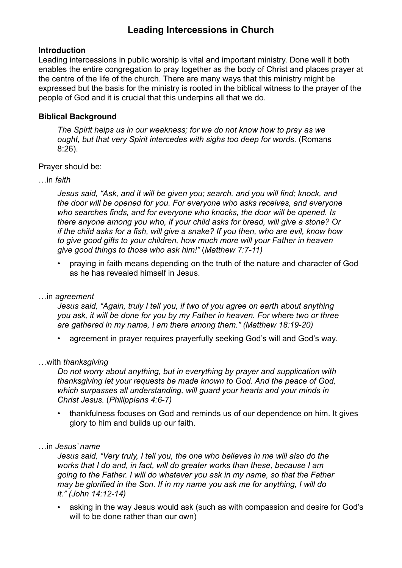# **Leading Intercessions in Church**

#### **Introduction**

Leading intercessions in public worship is vital and important ministry. Done well it both enables the entire congregation to pray together as the body of Christ and places prayer at the centre of the life of the church. There are many ways that this ministry might be expressed but the basis for the ministry is rooted in the biblical witness to the prayer of the people of God and it is crucial that this underpins all that we do.

### **Biblical Background**

*The Spirit helps us in our weakness; for we do not know how to pray as we ought, but that very Spirit intercedes with sighs too deep for words.* (Romans 8:26).

Prayer should be:

…in *faith*

*Jesus said, "Ask, and it will be given you; search, and you will find; knock, and the door will be opened for you. For everyone who asks receives, and everyone who searches finds, and for everyone who knocks, the door will be opened. Is there anyone among you who, if your child asks for bread, will give a stone? Or if the child asks for a fish, will give a snake? If you then, who are evil, know how to give good gifts to your children, how much more will your Father in heaven give good things to those who ask him!"* (*Matthew 7:7-11)*

• praying in faith means depending on the truth of the nature and character of God as he has revealed himself in Jesus.

…in *agreement*

*Jesus said, "Again, truly I tell you, if two of you agree on earth about anything you ask, it will be done for you by my Father in heaven. For where two or three are gathered in my name, I am there among them." (Matthew 18:19-20)*

• agreement in prayer requires prayerfully seeking God's will and God's way.

…with *thanksgiving*

*Do not worry about anything, but in everything by prayer and supplication with thanksgiving let your requests be made known to God. And the peace of God, which surpasses all understanding, will guard your hearts and your minds in Christ Jesus.* (*Philippians 4:6-7)*

• thankfulness focuses on God and reminds us of our dependence on him. It gives glory to him and builds up our faith.

…in *Jesus' name*

*Jesus said, "Very truly, I tell you, the one who believes in me will also do the works that I do and, in fact, will do greater works than these, because I am going to the Father. I will do whatever you ask in my name, so that the Father may be glorified in the Son. If in my name you ask me for anything, I will do it." (John 14:12-14)*

• asking in the way Jesus would ask (such as with compassion and desire for God's will to be done rather than our own)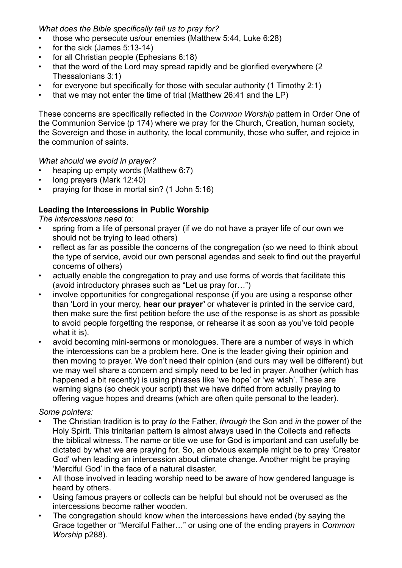*What does the Bible specifically tell us to pray for?*

- those who persecute us/our enemies (Matthew 5:44, Luke 6:28)
- for the sick (James 5:13-14)
- for all Christian people (Ephesians 6:18)
- that the word of the Lord may spread rapidly and be glorified everywhere (2 Thessalonians 3:1)
- for everyone but specifically for those with secular authority (1 Timothy 2:1)
- that we may not enter the time of trial (Matthew 26:41 and the LP)

These concerns are specifically reflected in the *Common Worship* pattern in Order One of the Communion Service (p 174) where we pray for the Church, Creation, human society, the Sovereign and those in authority, the local community, those who suffer, and rejoice in the communion of saints.

# *What should we avoid in prayer?*

- heaping up empty words (Matthew 6:7)
- long prayers (Mark 12:40)
- praying for those in mortal sin? (1 John 5:16)

# **Leading the Intercessions in Public Worship**

*The intercessions need to:*

- spring from a life of personal prayer (if we do not have a prayer life of our own we should not be trying to lead others)
- reflect as far as possible the concerns of the congregation (so we need to think about the type of service, avoid our own personal agendas and seek to find out the prayerful concerns of others)
- actually enable the congregation to pray and use forms of words that facilitate this (avoid introductory phrases such as "Let us pray for…")
- involve opportunities for congregational response (if you are using a response other than 'Lord in your mercy, **hear our prayer'** or whatever is printed in the service card, then make sure the first petition before the use of the response is as short as possible to avoid people forgetting the response, or rehearse it as soon as you've told people what it is).
- avoid becoming mini-sermons or monologues. There are a number of ways in which the intercessions can be a problem here. One is the leader giving their opinion and then moving to prayer. We don't need their opinion (and ours may well be different) but we may well share a concern and simply need to be led in prayer. Another (which has happened a bit recently) is using phrases like 'we hope' or 'we wish'. These are warning signs (so check your script) that we have drifted from actually praying to offering vague hopes and dreams (which are often quite personal to the leader).

# *Some pointers:*

- The Christian tradition is to pray *to* the Father, *through* the Son and *in* the power of the Holy Spirit*.* This trinitarian pattern is almost always used in the Collects and reflects the biblical witness. The name or title we use for God is important and can usefully be dictated by what we are praying for. So, an obvious example might be to pray 'Creator God' when leading an intercession about climate change. Another might be praying 'Merciful God' in the face of a natural disaster.
- All those involved in leading worship need to be aware of how gendered language is heard by others.
- Using famous prayers or collects can be helpful but should not be overused as the intercessions become rather wooden.
- The congregation should know when the intercessions have ended (by saying the Grace together or "Merciful Father…" or using one of the ending prayers in *Common Worship* p288).